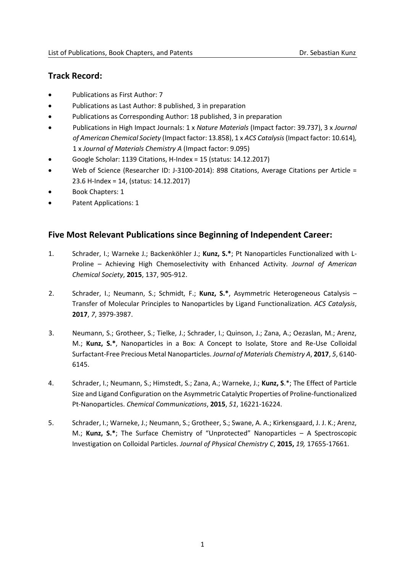# **Track Record:**

- Publications as First Author: 7
- Publications as Last Author: 8 published, 3 in preparation
- Publications as Corresponding Author: 18 published, 3 in preparation
- Publications in High Impact Journals: 1 x *Nature Materials* (Impact factor: 39.737), 3 x *Journal of American Chemical Society* (Impact factor: 13.858), 1 x *ACS Catalysis*(Impact factor: 10.614)*,* 1 x *Journal of Materials Chemistry A* (Impact factor: 9.095)
- Google Scholar: 1139 Citations, H-Index = 15 (status: 14.12.2017)
- Web of Science (Researcher ID: J-3100-2014): 898 Citations, Average Citations per Article = 23.6 H-Index = 14, (status: 14.12.2017)
- Book Chapters: 1
- Patent Applications: 1

# **Five Most Relevant Publications since Beginning of Independent Career:**

- 1. Schrader, I.; Warneke J.; Backenköhler J.; **Kunz, S.\***; Pt Nanoparticles Functionalized with L-Proline – Achieving High Chemoselectivity with Enhanced Activity*. Journal of American Chemical Society*, **2015**, 137, 905-912.
- 2. Schrader, I.; Neumann, S.; Schmidt, F.; **Kunz, S.\***, Asymmetric Heterogeneous Catalysis Transfer of Molecular Principles to Nanoparticles by Ligand Functionalization. *ACS Catalysis*, **2017**, *7*, 3979-3987.
- 3. Neumann, S.; Grotheer, S.; Tielke, J.; Schrader, I.; Quinson, J.; Zana, A.; Oezaslan, M.; Arenz, M.; **Kunz, S.\***, Nanoparticles in a Box: A Concept to Isolate, Store and Re-Use Colloidal Surfactant-Free Precious Metal Nanoparticles. *Journal of Materials Chemistry A*, **2017**, *5*, 6140- 6145.
- 4. Schrader, I.; Neumann, S.; Himstedt, S.; Zana, A.; Warneke, J.; **Kunz, S**.\*; The Effect of Particle Size and Ligand Configuration on the Asymmetric Catalytic Properties of Proline-functionalized Pt-Nanoparticles. *Chemical Communications*, **2015**, *51*, 16221-16224.
- 5. Schrader, I.; Warneke, J.; Neumann, S.; Grotheer, S.; Swane, A. A.; Kirkensgaard, J. J. K.; Arenz, M.; **Kunz, S.\***; The Surface Chemistry of "Unprotected" Nanoparticles – A Spectroscopic Investigation on Colloidal Particles. *Journal of Physical Chemistry C*, **2015,** *19,* 17655-17661.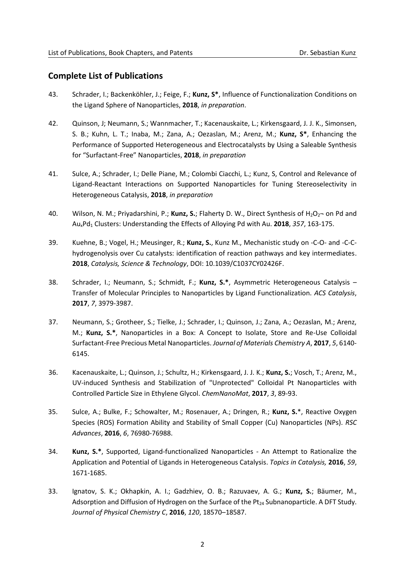#### **Complete List of Publications**

- 43. Schrader, I.; Backenköhler, J.; Feige, F.; **Kunz, S\***, Influence of Functionalization Conditions on the Ligand Sphere of Nanoparticles, **2018**, *in preparation*.
- 42. Quinson, J; Neumann, S.; Wannmacher, T.; Kacenauskaite, L.; Kirkensgaard, J. J. K., Simonsen, S. B.; Kuhn, L. T.; Inaba, M.; Zana, A.; Oezaslan, M.; Arenz, M.; **Kunz, S\***, Enhancing the Performance of Supported Heterogeneous and Electrocatalysts by Using a Saleable Synthesis for "Surfactant-Free" Nanoparticles, **2018**, *in preparation*
- 41. Sulce, A.; Schrader, I.; Delle Piane, M.; Colombi Ciacchi, L.; Kunz, S, Control and Relevance of Ligand-Reactant Interactions on Supported Nanoparticles for Tuning Stereoselectivity in Heterogeneous Catalysis, **2018**, *in preparation*
- 40. Wilson, N. M.; Privadarshini, P.; **Kunz, S.**; Flaherty D. W., Direct Synthesis of H<sub>2</sub>O<sub>2</sub>- on Pd and AuxPd<sup>1</sup> Clusters: Understanding the Effects of Alloying Pd with Au. **2018**, *357*, 163-175.
- 39. Kuehne, B.; Vogel, H.; Meusinger, R.; **Kunz, S.**, Kunz M., Mechanistic study on -C-O- and -C-Chydrogenolysis over Cu catalysts: identification of reaction pathways and key intermediates. **2018**, *Catalysis, Science & Technology*, DOI: 10.1039/C1037CY02426F.
- 38. Schrader, I.; Neumann, S.; Schmidt, F.; **Kunz, S.\***, Asymmetric Heterogeneous Catalysis Transfer of Molecular Principles to Nanoparticles by Ligand Functionalization. *ACS Catalysis*, **2017**, *7*, 3979-3987.
- 37. Neumann, S.; Grotheer, S.; Tielke, J.; Schrader, I.; Quinson, J.; Zana, A.; Oezaslan, M.; Arenz, M.; **Kunz, S.\***, Nanoparticles in a Box: A Concept to Isolate, Store and Re-Use Colloidal Surfactant-Free Precious Metal Nanoparticles. *Journal of Materials Chemistry A*, **2017**, *5*, 6140- 6145.
- 36. Kacenauskaite, L.; Quinson, J.; Schultz, H.; Kirkensgaard, J. J. K.; **Kunz, S.**; Vosch, T.; Arenz, M., UV-induced Synthesis and Stabilization of "Unprotected" Colloidal Pt Nanoparticles with Controlled Particle Size in Ethylene Glycol. *ChemNanoMat*, **2017**, *3*, 89-93.
- 35. Sulce, A.; Bulke, F.; Schowalter, M.; Rosenauer, A.; Dringen, R.; **Kunz, S.**\*, Reactive Oxygen Species (ROS) Formation Ability and Stability of Small Copper (Cu) Nanoparticles (NPs). *RSC Advances*, **2016**, *6*, 76980-76988.
- 34. **Kunz, S.\***, Supported, Ligand-functionalized Nanoparticles An Attempt to Rationalize the Application and Potential of Ligands in Heterogeneous Catalysis. *Topics in Catalysis,* **2016**, *59*, 1671-1685.
- 33. Ignatov, S. K.; Okhapkin, A. I.; Gadzhiev, O. B.; Razuvaev, A. G.; **Kunz, S.**; Bäumer, M., Adsorption and Diffusion of Hydrogen on the Surface of the Pt<sub>24</sub> Subnanoparticle. A DFT Study. *Journal of Physical Chemistry C*, **2016**, *120*, 18570–18587.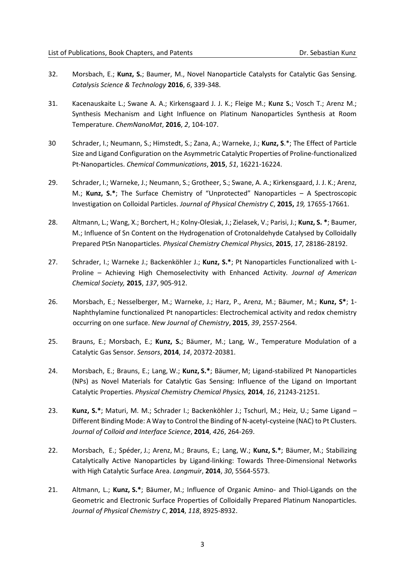- 32. Morsbach, E.; **Kunz, S.**; Baumer, M., Novel Nanoparticle Catalysts for Catalytic Gas Sensing. *Catalysis Science & Technology* **2016**, *6*, 339-348.
- 31. Kacenauskaite L.; Swane A. A.; Kirkensgaard J. J. K.; Fleige M.; **Kunz S.**; Vosch T.; Arenz M.; Synthesis Mechanism and Light Influence on Platinum Nanoparticles Synthesis at Room Temperature. *ChemNanoMat*, **2016**, *2*, 104-107.
- 30 Schrader, I.; Neumann, S.; Himstedt, S.; Zana, A.; Warneke, J.; **Kunz, S**.\*; The Effect of Particle Size and Ligand Configuration on the Asymmetric Catalytic Properties of Proline-functionalized Pt-Nanoparticles. *Chemical Communications*, **2015**, *51*, 16221-16224.
- 29. Schrader, I.; Warneke, J.; Neumann, S.; Grotheer, S.; Swane, A. A.; Kirkensgaard, J. J. K.; Arenz, M.; **Kunz, S.\***; The Surface Chemistry of "Unprotected" Nanoparticles – A Spectroscopic Investigation on Colloidal Particles. *Journal of Physical Chemistry C*, **2015,** *19,* 17655-17661.
- 28. Altmann, L.; Wang, X.; Borchert, H.; Kolny-Olesiak, J.; Zielasek, V.; Parisi, J.; **Kunz, S. \***; Baumer, M.; Influence of Sn Content on the Hydrogenation of Crotonaldehyde Catalysed by Colloidally Prepared PtSn Nanoparticles. *Physical Chemistry Chemical Physics*, **2015**, *17*, 28186-28192.
- 27. Schrader, I.; Warneke J.; Backenköhler J.; **Kunz, S.\***; Pt Nanoparticles Functionalized with L-Proline – Achieving High Chemoselectivity with Enhanced Activity*. Journal of American Chemical Society,* **2015**, *137*, 905-912.
- 26. Morsbach, E.; Nesselberger, M.; Warneke, J.; Harz, P., Arenz, M.; Bäumer, M.; **Kunz, S\***; 1- Naphthylamine functionalized Pt nanoparticles: Electrochemical activity and redox chemistry occurring on one surface. *New Journal of Chemistry*, **2015**, *39*, 2557-2564.
- 25. Brauns, E.; Morsbach, E.; **Kunz, S.**; Bäumer, M.; Lang, W., Temperature Modulation of a Catalytic Gas Sensor. *Sensors*, **2014**, *14*, 20372-20381.
- 24. Morsbach, E.; Brauns, E.; Lang, W.; **Kunz, S.\***; Bäumer, M; Ligand-stabilized Pt Nanoparticles (NPs) as Novel Materials for Catalytic Gas Sensing: Influence of the Ligand on Important Catalytic Properties. *Physical Chemistry Chemical Physics,* **2014**, *16*, 21243-21251.
- 23. **Kunz, S.\***; Maturi, M. M.; Schrader I.; Backenköhler J.; Tschurl, M.; Heiz, U.; Same Ligand Different Binding Mode: A Way to Control the Binding of N-acetyl-cysteine (NAC) to Pt Clusters. *Journal of Colloid and Interface Science*, **2014**, *426*, 264-269.
- 22. Morsbach, E.; Spéder, J.; Arenz, M.; Brauns, E.; Lang, W.; **Kunz, S.\***; Bäumer, M.; Stabilizing Catalytically Active Nanoparticles by Ligand-linking: Towards Three-Dimensional Networks with High Catalytic Surface Area. *Langmuir*, **2014**, *30*, 5564-5573.
- 21. Altmann, L.; **Kunz, S.\***; Bäumer, M.; Influence of Organic Amino- and Thiol-Ligands on the Geometric and Electronic Surface Properties of Colloidally Prepared Platinum Nanoparticles. *Journal of Physical Chemistry C*, **2014**, *118*, 8925-8932.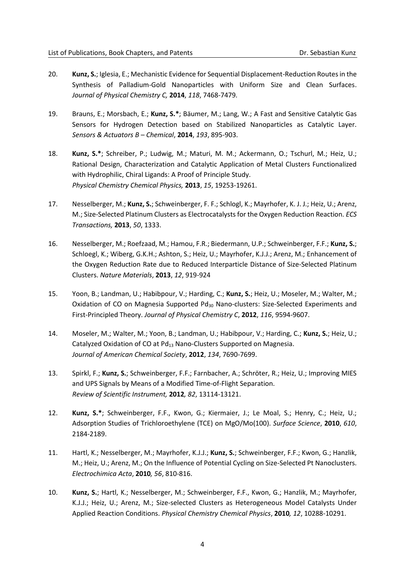- 20. **Kunz, S.**; Iglesia, E.; Mechanistic Evidence for Sequential Displacement-Reduction Routes in the Synthesis of Palladium-Gold Nanoparticles with Uniform Size and Clean Surfaces. *Journal of Physical Chemistry C,* **2014**, *118*, 7468-7479*.*
- 19. Brauns, E.; Morsbach, E.; **Kunz, S.\***; Bäumer, M.; Lang, W.; A Fast and Sensitive Catalytic Gas Sensors for Hydrogen Detection based on Stabilized Nanoparticles as Catalytic Layer. *Sensors & Actuators B – Chemical*, **2014**, *193*, 895-903.
- 18. **Kunz, S.\***; Schreiber, P.; Ludwig, M.; Maturi, M. M.; Ackermann, O.; Tschurl, M.; Heiz, U.; Rational Design, Characterization and Catalytic Application of Metal Clusters Functionalized with Hydrophilic, Chiral Ligands: A Proof of Principle Study. *Physical Chemistry Chemical Physics,* **2013**, *15*, 19253-19261.
- 17. Nesselberger, M.; **Kunz, S.**; Schweinberger, F. F.; Schlogl, K.; Mayrhofer, K. J. J.; Heiz, U.; Arenz, M.; Size-Selected Platinum Clusters as Electrocatalysts for the Oxygen Reduction Reaction. *ECS Transactions,* **2013**, *50*, 1333.
- 16. Nesselberger, M.; Roefzaad, M.; Hamou, F.R.; Biedermann, U.P.; Schweinberger, F.F.; **Kunz, S.**; Schloegl, K.; Wiberg, G.K.H.; Ashton, S.; Heiz, U.; Mayrhofer, K.J.J.; Arenz, M.; Enhancement of the Oxygen Reduction Rate due to Reduced Interparticle Distance of Size-Selected Platinum Clusters. *Nature Materials*, **2013**, *12*, 919-924
- 15. Yoon, B.; Landman, U.; Habibpour, V.; Harding, C.; **Kunz, S.**; Heiz, U.; Moseler, M.; Walter, M.; Oxidation of CO on Magnesia Supported Pd<sub>30</sub> Nano-clusters: Size-Selected Experiments and First-Principled Theory. *Journal of Physical Chemistry C*, **2012**, *116*, 9594-9607.
- 14. Moseler, M.; Walter, M.; Yoon, B.; Landman, U.; Habibpour, V.; Harding, C.; **Kunz, S.**; Heiz, U.; Catalyzed Oxidation of CO at Pd<sub>13</sub> Nano-Clusters Supported on Magnesia. *Journal of American Chemical Society*, **2012**, *134*, 7690-7699.
- 13. Spirkl, F.; **Kunz, S.**; Schweinberger, F.F.; Farnbacher, A.; Schröter, R.; Heiz, U.; Improving MIES and UPS Signals by Means of a Modified Time-of-Flight Separation. *Review of Scientific Instrument,* **2012***, 82*, 13114-13121.
- 12. **Kunz, S.\***; Schweinberger, F.F., Kwon, G.; Kiermaier, J.; Le Moal, S.; Henry, C.; Heiz, U.; Adsorption Studies of Trichloroethylene (TCE) on MgO/Mo(100). *Surface Science*, **2010**, *610*, 2184-2189.
- 11. Hartl, K.; Nesselberger, M.; Mayrhofer, K.J.J.; **Kunz, S.**; Schweinberger, F.F.; Kwon, G.; Hanzlik, M.; Heiz, U.; Arenz, M.; On the Influence of Potential Cycling on Size-Selected Pt Nanoclusters. *Electrochimica Acta*, **2010***, 56*, 810-816.
- 10. **Kunz, S.**; Hartl, K.; Nesselberger, M.; Schweinberger, F.F., Kwon, G.; Hanzlik, M.; Mayrhofer, K.J.J.; Heiz, U.; Arenz, M.; Size-selected Clusters as Heterogeneous Model Catalysts Under Applied Reaction Conditions. *Physical Chemistry Chemical Physics*, **2010***, 12*, 10288-10291.